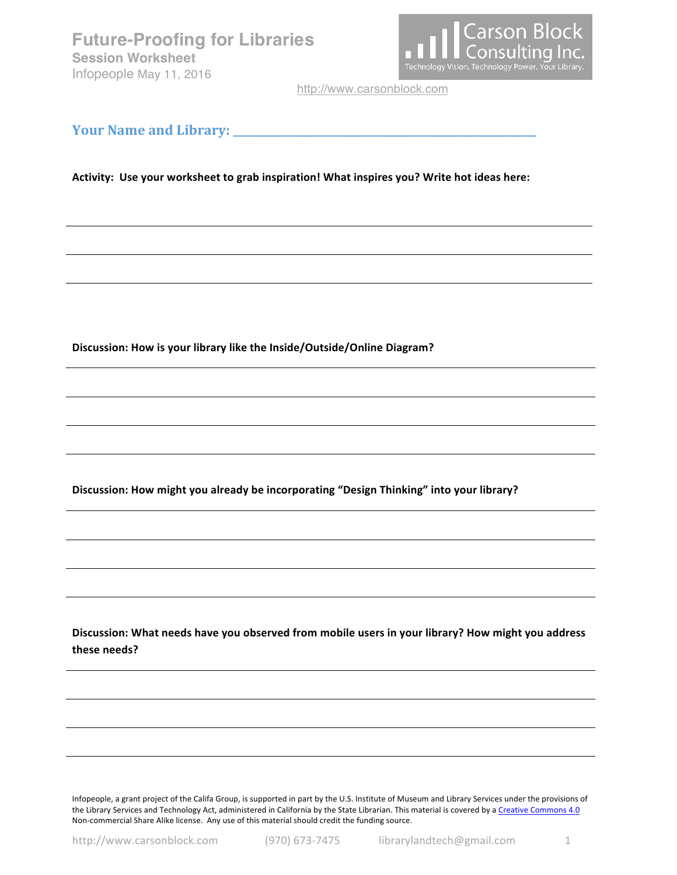**Future-Proofing for Libraries Session Worksheet** Infopeople May 11, 2016



http://www.carsonblock.com

## **Your Name and Library: \_\_\_\_\_\_\_\_\_\_\_\_\_\_\_\_\_\_\_\_\_\_\_\_\_\_\_\_\_\_\_\_\_\_\_\_\_\_\_\_\_\_\_\_\_\_\_\_\_\_\_\_\_\_\_\_\_**

Activity: Use your worksheet to grab inspiration! What inspires you? Write hot ideas here:

Discussion: How is your library like the Inside/Outside/Online Diagram?

Discussion: How might you already be incorporating "Design Thinking" into your library?

Discussion: What needs have you observed from mobile users in your library? How might you address **these needs?**

Infopeople, a grant project of the Califa Group, is supported in part by the U.S. Institute of Museum and Library Services under the provisions of the Library Services and Technology Act, administered in California by the State Librarian. This material is covered by a Creative Commons 4.0 Non-commercial Share Alike license. Any use of this material should credit the funding source.